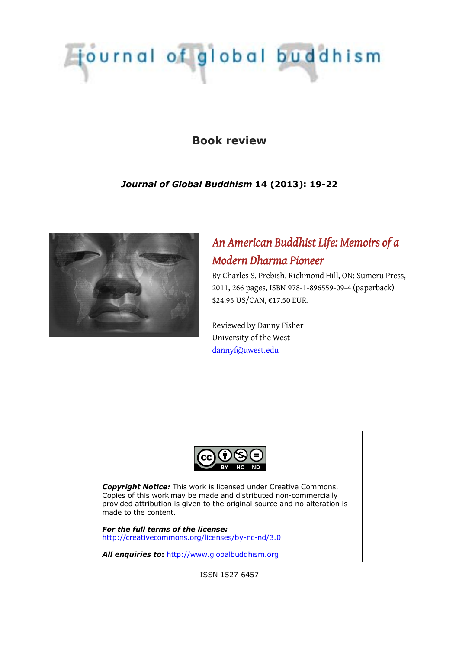# journal of global buddhism

## **Book review**

## *Journal of Global Buddhism* **14 (2013): 19-22**



# *An American Buddhist Life: Memoirs of a Modern Dharma Pioneer*

By Charles S. Prebish. Richmond Hill, ON: Sumeru Press, 2011, 266 pages, ISBN 978-1-896559-09-4 (paperback) \$24.95 US/CAN, €17.50 EUR.

Reviewed by Danny Fisher University of the West [dannyf@uwest.edu](mailto:dannyf@uwest.edu)



*Copyright Notice:* This work is licensed under Creative Commons. Copies of this work may be made and distributed non-commercially provided attribution is given to the original source and no alteration is made to the content.

*For the full terms of the license:* <http://creativecommons.org/licenses/by-nc-nd/3.0>

*All enquiries to***:** [http://www.globalbuddhism.org](http://www.globalbuddhism.org/)

ISSN 1527-6457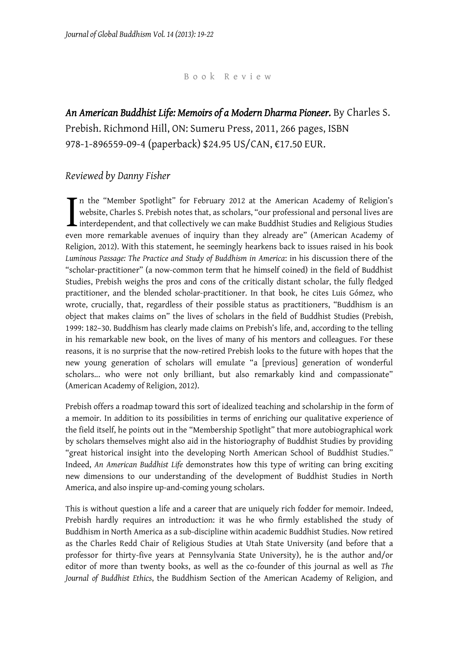### Book Review

*An American Buddhist Life: Memoirs of a Modern Dharma Pioneer.* By Charles S. Prebish. Richmond Hill, ON: Sumeru Press, 2011, 266 pages, ISBN 978-1-896559-09-4 (paperback) \$24.95 US/CAN, €17.50 EUR.

## *Reviewed by Danny Fisher*

n the "Member Spotlight" for February 2012 at the American Academy of Religion's website, Charles S. Prebish notes that, as scholars, "our professional and personal lives are interdependent, and that collectively we can make Buddhist Studies and Religious Studies even more remarkable avenues of inquiry than they already are" (American Academy of Religion, 2012). With this statement, he seemingly hearkens back to issues raised in his book *Luminous Passage: The Practice and Study of Buddhism in America*: in his discussion there of the "scholar-practitioner" (a now-common term that he himself coined) in the field of Buddhist Studies, Prebish weighs the pros and cons of the critically distant scholar, the fully fledged practitioner, and the blended scholar-practitioner. In that book, he cites Luis Gómez, who wrote, crucially, that, regardless of their possible status as practitioners, "Buddhism is an object that makes claims on" the lives of scholars in the field of Buddhist Studies (Prebish, 1999: 182–30. Buddhism has clearly made claims on Prebish's life, and, according to the telling in his remarkable new book, on the lives of many of his mentors and colleagues. For these reasons, it is no surprise that the now-retired Prebish looks to the future with hopes that the new young generation of scholars will emulate "a [previous] generation of wonderful scholars... who were not only brilliant, but also remarkably kind and compassionate" (American Academy of Religion, 2012). I<br>even

Prebish offers a roadmap toward this sort of idealized teaching and scholarship in the form of a memoir. In addition to its possibilities in terms of enriching our qualitative experience of the field itself, he points out in the "Membership Spotlight" that more autobiographical work by scholars themselves might also aid in the historiography of Buddhist Studies by providing "great historical insight into the developing North American School of Buddhist Studies." Indeed, *An American Buddhist Life* demonstrates how this type of writing can bring exciting new dimensions to our understanding of the development of Buddhist Studies in North America, and also inspire up-and-coming young scholars.

This is without question a life and a career that are uniquely rich fodder for memoir. Indeed, Prebish hardly requires an introduction: it was he who firmly established the study of Buddhism in North America as a sub-discipline within academic Buddhist Studies. Now retired as the Charles Redd Chair of Religious Studies at Utah State University (and before that a professor for thirty-five years at Pennsylvania State University), he is the author and/or editor of more than twenty books, as well as the co-founder of this journal as well as *The Journal of Buddhist Ethics*, the Buddhism Section of the American Academy of Religion, and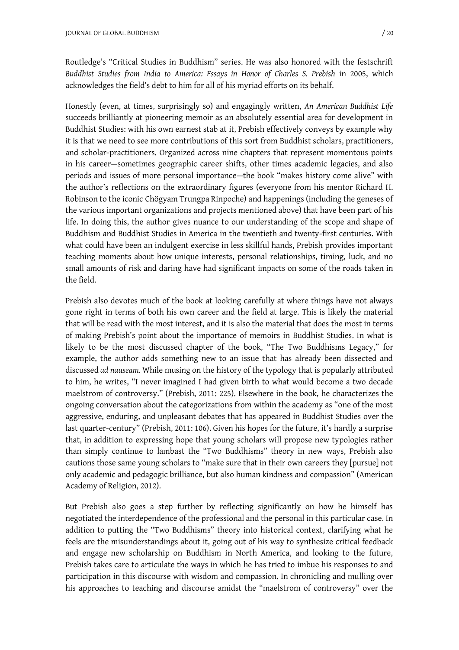Routledge's "Critical Studies in Buddhism" series. He was also honored with the festschrift *Buddhist Studies from India to America: Essays in Honor of Charles S. Prebish* in 2005, which acknowledges the field's debt to him for all of his myriad efforts on its behalf.

Honestly (even, at times, surprisingly so) and engagingly written, *An American Buddhist Life* succeeds brilliantly at pioneering memoir as an absolutely essential area for development in Buddhist Studies: with his own earnest stab at it, Prebish effectively conveys by example why it is that we need to see more contributions of this sort from Buddhist scholars, practitioners, and scholar-practitioners. Organized across nine chapters that represent momentous points in his career—sometimes geographic career shifts, other times academic legacies, and also periods and issues of more personal importance—the book "makes history come alive" with the author's reflections on the extraordinary figures (everyone from his mentor Richard H. Robinson to the iconic Chögyam Trungpa Rinpoche) and happenings (including the geneses of the various important organizations and projects mentioned above) that have been part of his life. In doing this, the author gives nuance to our understanding of the scope and shape of Buddhism and Buddhist Studies in America in the twentieth and twenty-first centuries. With what could have been an indulgent exercise in less skillful hands, Prebish provides important teaching moments about how unique interests, personal relationships, timing, luck, and no small amounts of risk and daring have had significant impacts on some of the roads taken in the field.

Prebish also devotes much of the book at looking carefully at where things have not always gone right in terms of both his own career and the field at large. This is likely the material that will be read with the most interest, and it is also the material that does the most in terms of making Prebish's point about the importance of memoirs in Buddhist Studies. In what is likely to be the most discussed chapter of the book, "The Two Buddhisms Legacy," for example, the author adds something new to an issue that has already been dissected and discussed *ad nauseam*. While musing on the history of the typology that is popularly attributed to him, he writes, "I never imagined I had given birth to what would become a two decade maelstrom of controversy." (Prebish, 2011: 225). Elsewhere in the book, he characterizes the ongoing conversation about the categorizations from within the academy as "one of the most aggressive, enduring, and unpleasant debates that has appeared in Buddhist Studies over the last quarter-century" (Prebish, 2011: 106). Given his hopes for the future, it's hardly a surprise that, in addition to expressing hope that young scholars will propose new typologies rather than simply continue to lambast the "Two Buddhisms" theory in new ways, Prebish also cautions those same young scholars to "make sure that in their own careers they [pursue] not only academic and pedagogic brilliance, but also human kindness and compassion" (American Academy of Religion, 2012).

But Prebish also goes a step further by reflecting significantly on how he himself has negotiated the interdependence of the professional and the personal in this particular case. In addition to putting the "Two Buddhisms" theory into historical context, clarifying what he feels are the misunderstandings about it, going out of his way to synthesize critical feedback and engage new scholarship on Buddhism in North America, and looking to the future, Prebish takes care to articulate the ways in which he has tried to imbue his responses to and participation in this discourse with wisdom and compassion. In chronicling and mulling over his approaches to teaching and discourse amidst the "maelstrom of controversy" over the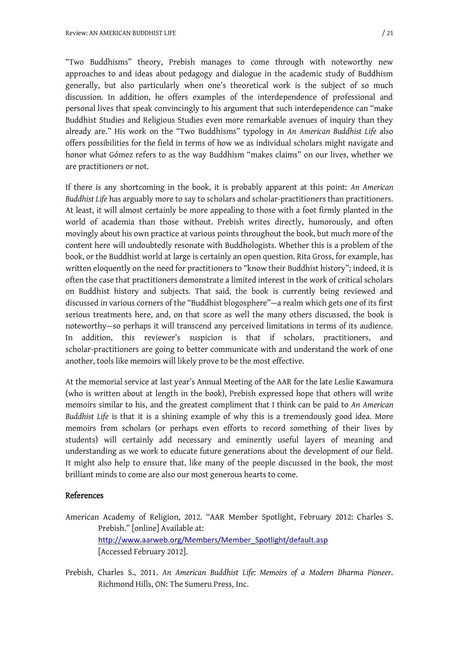"Two Buddhisms" theory, Prebish manages to come through with noteworthy new approaches to and ideas about pedagogy and dialogue in the academic study of Buddhism generally, but also particularly when one's theoretical work is the subject of so much discussion. In addition, he offers examples of the interdependence of professional and personal lives that speak convincingly to his argument that such interdependence can "make Buddhist Studies and Religious Studies even more remarkable avenues of inquiry than they already are." His work on the "Two Buddhisms" typology in *An American Buddhist Life* also offers possibilities for the field in terms of how we as individual scholars might navigate and honor what Gómez refers to as the way Buddhism "makes claims" on our lives, whether we are practitioners or not.

If there is any shortcoming in the book, it is probably apparent at this point: *An American Buddhist Life* has arguably more to say to scholars and scholar-practitioners than practitioners. At least, it will almost certainly be more appealing to those with a foot firmly planted in the world of academia than those without. Prebish writes directly, humorously, and often movingly about his own practice at various points throughout the book, but much more of the content here will undoubtedly resonate with Buddhologists. Whether this is a problem of the book, or the Buddhist world at large is certainly an open question. Rita Gross, for example, has written eloquently on the need for practitioners to "know their Buddhist history"; indeed, it is often the case that practitioners demonstrate a limited interest in the work of critical scholars on Buddhist history and subjects. That said, the book is currently being reviewed and discussed in various corners of the "Buddhist blogosphere"—a realm which gets one of its first serious treatments here, and, on that score as well the many others discussed, the book is noteworthy—so perhaps it will transcend any perceived limitations in terms of its audience. In addition, this reviewer's suspicion is that if scholars, practitioners, and scholar-practitioners are going to better communicate with and understand the work of one another, tools like memoirs will likely prove to be the most effective.

At the memorial service at last year's Annual Meeting of the AAR for the late Leslie Kawamura (who is written about at length in the book), Prebish expressed hope that others will write memoirs similar to his, and the greatest compliment that I think can be paid to *An American Buddhist Life* is that it is a shining example of why this is a tremendously good idea. More memoirs from scholars (or perhaps even efforts to record something of their lives by students) will certainly add necessary and eminently useful layers of meaning and understanding as we work to educate future generations about the development of our field. It might also help to ensure that, like many of the people discussed in the book, the most brilliant minds to come are also our most generous hearts to come.

#### References

- American Academy of Religion, 2012. "AAR Member Spotlight, February 2012: Charles S. Prebish." [online] Available at: [http://www.aarweb.org/Members/Member\\_Spotlight/default.asp](http://www.aarweb.org/Members/Member_Spotlight/default.asp) [Accessed February 2012].
- Prebish, Charles S., 2011. *An American Buddhist Life: Memoirs of a Modern Dharma Pioneer*. Richmond Hills, ON: The Sumeru Press, Inc.